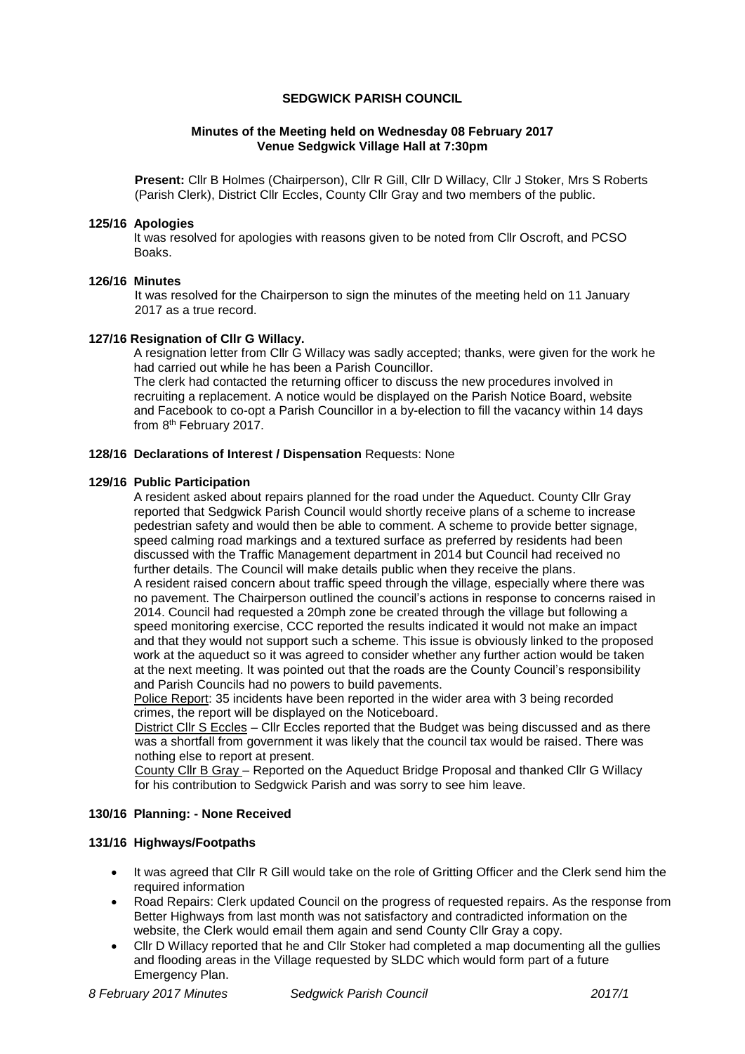#### **SEDGWICK PARISH COUNCIL**

### **Minutes of the Meeting held on Wednesday 08 February 2017 Venue Sedgwick Village Hall at 7:30pm**

**Present:** Cllr B Holmes (Chairperson), Cllr R Gill, Cllr D Willacy, Cllr J Stoker, Mrs S Roberts (Parish Clerk), District Cllr Eccles, County Cllr Gray and two members of the public.

### **125/16 Apologies**

It was resolved for apologies with reasons given to be noted from Cllr Oscroft, and PCSO Boaks.

#### **126/16 Minutes**

It was resolved for the Chairperson to sign the minutes of the meeting held on 11 January 2017 as a true record.

### **127/16 Resignation of Cllr G Willacy.**

A resignation letter from Cllr G Willacy was sadly accepted; thanks, were given for the work he had carried out while he has been a Parish Councillor.

The clerk had contacted the returning officer to discuss the new procedures involved in recruiting a replacement. A notice would be displayed on the Parish Notice Board, website and Facebook to co-opt a Parish Councillor in a by-election to fill the vacancy within 14 days from 8<sup>th</sup> February 2017.

### **128/16 Declarations of Interest / Dispensation** Requests: None

#### **129/16 Public Participation**

A resident asked about repairs planned for the road under the Aqueduct. County Cllr Gray reported that Sedgwick Parish Council would shortly receive plans of a scheme to increase pedestrian safety and would then be able to comment. A scheme to provide better signage, speed calming road markings and a textured surface as preferred by residents had been discussed with the Traffic Management department in 2014 but Council had received no further details. The Council will make details public when they receive the plans. A resident raised concern about traffic speed through the village, especially where there was no pavement. The Chairperson outlined the council's actions in response to concerns raised in 2014. Council had requested a 20mph zone be created through the village but following a speed monitoring exercise, CCC reported the results indicated it would not make an impact and that they would not support such a scheme. This issue is obviously linked to the proposed work at the aqueduct so it was agreed to consider whether any further action would be taken at the next meeting. It was pointed out that the roads are the County Council's responsibility and Parish Councils had no powers to build pavements.

Police Report: 35 incidents have been reported in the wider area with 3 being recorded crimes, the report will be displayed on the Noticeboard.

District Cllr S Eccles – Cllr Eccles reported that the Budget was being discussed and as there was a shortfall from government it was likely that the council tax would be raised. There was nothing else to report at present.

County Cllr B Gray – Reported on the Aqueduct Bridge Proposal and thanked Cllr G Willacy for his contribution to Sedgwick Parish and was sorry to see him leave.

# **130/16 Planning: - None Received**

# **131/16 Highways/Footpaths**

- It was agreed that Cllr R Gill would take on the role of Gritting Officer and the Clerk send him the required information
- Road Repairs: Clerk updated Council on the progress of requested repairs. As the response from Better Highways from last month was not satisfactory and contradicted information on the website, the Clerk would email them again and send County Cllr Gray a copy.
- Cllr D Willacy reported that he and Cllr Stoker had completed a map documenting all the gullies and flooding areas in the Village requested by SLDC which would form part of a future Emergency Plan.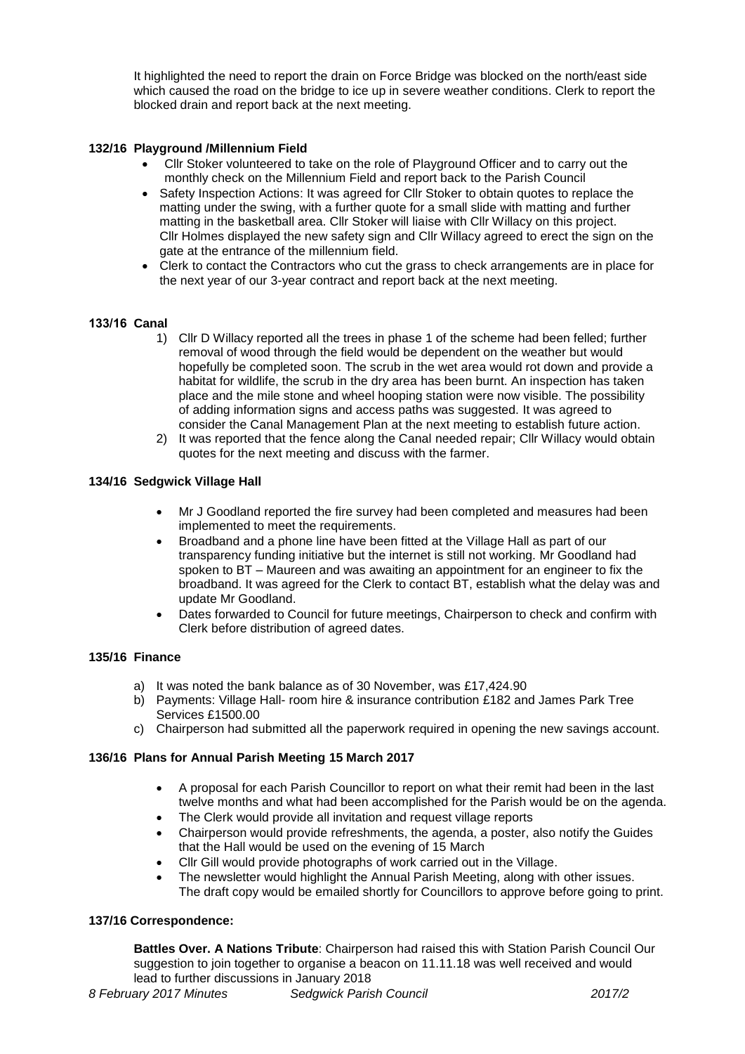It highlighted the need to report the drain on Force Bridge was blocked on the north/east side which caused the road on the bridge to ice up in severe weather conditions. Clerk to report the blocked drain and report back at the next meeting.

# **132/16 Playground /Millennium Field**

- Cllr Stoker volunteered to take on the role of Playground Officer and to carry out the monthly check on the Millennium Field and report back to the Parish Council
- Safety Inspection Actions: It was agreed for Cllr Stoker to obtain quotes to replace the matting under the swing, with a further quote for a small slide with matting and further matting in the basketball area. Cllr Stoker will liaise with Cllr Willacy on this project. Cllr Holmes displayed the new safety sign and Cllr Willacy agreed to erect the sign on the gate at the entrance of the millennium field.
- Clerk to contact the Contractors who cut the grass to check arrangements are in place for the next year of our 3-year contract and report back at the next meeting.

### **133/16 Canal**

- 1) Cllr D Willacy reported all the trees in phase 1 of the scheme had been felled; further removal of wood through the field would be dependent on the weather but would hopefully be completed soon. The scrub in the wet area would rot down and provide a habitat for wildlife, the scrub in the dry area has been burnt. An inspection has taken place and the mile stone and wheel hooping station were now visible. The possibility of adding information signs and access paths was suggested. It was agreed to consider the Canal Management Plan at the next meeting to establish future action.
- 2) It was reported that the fence along the Canal needed repair; Cllr Willacy would obtain quotes for the next meeting and discuss with the farmer.

### **134/16 Sedgwick Village Hall**

- Mr J Goodland reported the fire survey had been completed and measures had been implemented to meet the requirements.
- Broadband and a phone line have been fitted at the Village Hall as part of our transparency funding initiative but the internet is still not working. Mr Goodland had spoken to BT – Maureen and was awaiting an appointment for an engineer to fix the broadband. It was agreed for the Clerk to contact BT, establish what the delay was and update Mr Goodland.
- Dates forwarded to Council for future meetings, Chairperson to check and confirm with Clerk before distribution of agreed dates.

#### **135/16 Finance**

- a) It was noted the bank balance as of 30 November, was £17,424.90
- b) Payments: Village Hall- room hire & insurance contribution £182 and James Park Tree Services £1500.00
- c) Chairperson had submitted all the paperwork required in opening the new savings account.

# **136/16 Plans for Annual Parish Meeting 15 March 2017**

- A proposal for each Parish Councillor to report on what their remit had been in the last twelve months and what had been accomplished for the Parish would be on the agenda.
- The Clerk would provide all invitation and request village reports
- Chairperson would provide refreshments, the agenda, a poster, also notify the Guides that the Hall would be used on the evening of 15 March
- Cllr Gill would provide photographs of work carried out in the Village.
- The newsletter would highlight the Annual Parish Meeting, along with other issues. The draft copy would be emailed shortly for Councillors to approve before going to print.

#### **137/16 Correspondence:**

**Battles Over. A Nations Tribute**: Chairperson had raised this with Station Parish Council Our suggestion to join together to organise a beacon on 11.11.18 was well received and would lead to further discussions in January 2018